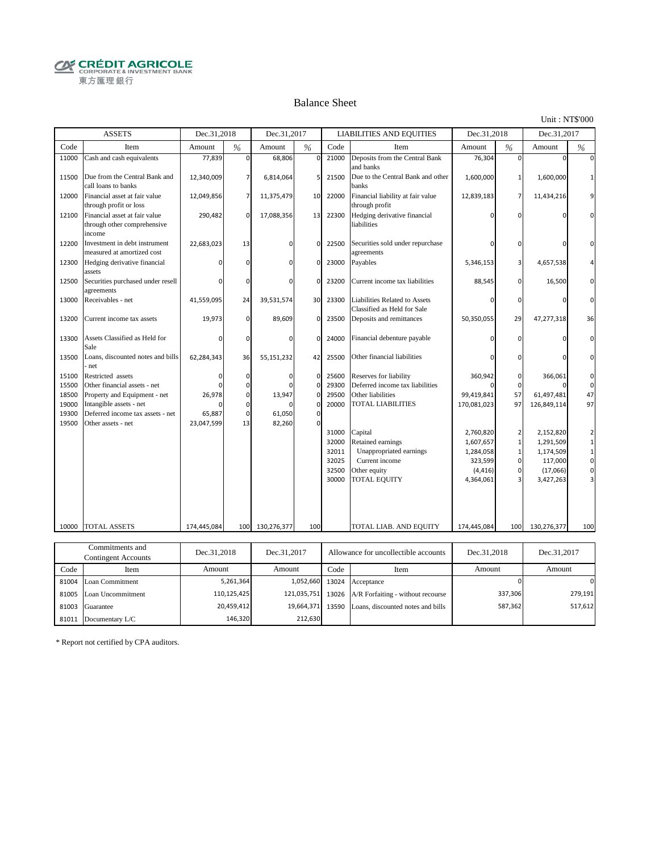**CRÉDIT AGRICOLE** 東方匯理銀行

#### Balance Sheet

Unit : NT\$'000

587,362

517,612

|       | <b>ASSETS</b>                                                          | Dec.31,2018 |             | Dec.31,2017 |                |       | <b>LIABILITIES AND EQUITIES</b>                              | Dec.31,2018 |                | Dec.31,2017 |                |
|-------|------------------------------------------------------------------------|-------------|-------------|-------------|----------------|-------|--------------------------------------------------------------|-------------|----------------|-------------|----------------|
| Code  | Item                                                                   | Amount      | %           | Amount      | $\frac{9}{6}$  | Code  | Item                                                         | Amount      | %              | Amount      | %              |
| 11000 | Cash and cash equivalents                                              | 77,839      | $\Omega$    | 68,806      | 0              | 21000 | Deposits from the Central Bank<br>and banks                  | 76,304      | $\Omega$       | $\Omega$    | $\Omega$       |
| 11500 | Due from the Central Bank and<br>call loans to banks                   | 12,340,009  |             | 6,814,064   |                | 21500 | Due to the Central Bank and other<br>banks                   | 1,600,000   | 1              | 1,600,000   | $\mathbf{1}$   |
| 12000 | Financial asset at fair value<br>through profit or loss                | 12,049,856  | 7           | 11,375,479  | 10             | 22000 | Financial liability at fair value<br>through profit          | 12,839,183  | 7              | 11,434,216  |                |
| 12100 | Financial asset at fair value<br>through other comprehensive<br>income | 290,482     | $\Omega$    | 17,088,356  | 13             | 22300 | Hedging derivative financial<br>liabilities                  | n           | $\Omega$       | n           | $\Omega$       |
| 12200 | Investment in debt instrument<br>measured at amortized cost            | 22,683,023  | 13          | $\Omega$    | 0              | 22500 | Securities sold under repurchase<br>agreements               | U           | $\Omega$       | $\Omega$    | $\mathbf 0$    |
| 12300 | Hedging derivative financial<br>assets                                 | ŋ           | $\Omega$    | $\Omega$    | $\Omega$       | 23000 | Payables                                                     | 5,346,153   | 3              | 4,657,538   | 4              |
| 12500 | Securities purchased under resell<br>agreements                        | $\Omega$    | $\Omega$    | ŋ           | 0              | 23200 | Current income tax liabilities                               | 88,545      | $\Omega$       | 16,500      | $\Omega$       |
| 13000 | Receivables - net                                                      | 41,559,095  | 24          | 39,531,574  | 30             | 23300 | Liabilities Related to Assets<br>Classified as Held for Sale | 0           | $\Omega$       | $\Omega$    | $\Omega$       |
| 13200 | Current income tax assets                                              | 19,973      | $\Omega$    | 89,609      | $\Omega$       | 23500 | Deposits and remittances                                     | 50,350,055  | 29             | 47,277,318  | 36             |
| 13300 | Assets Classified as Held for<br>Sale                                  | $\Omega$    | $\Omega$    | $\Omega$    | $\Omega$       | 24000 | Financial debenture payable                                  |             | $\Omega$       | $\Omega$    | $\mathbf 0$    |
| 13500 | Loans, discounted notes and bills<br>net                               | 62,284,343  | 36          | 55,151,232  | 42             | 25500 | Other financial liabilities                                  |             | O              | $\Omega$    | $\mathbf 0$    |
| 15100 | Restricted assets                                                      | $\Omega$    | 0           | $\Omega$    | 0              | 25600 | Reserves for liability                                       | 360,942     | $\Omega$       | 366,061     | $\mathbf 0$    |
| 15500 | Other financial assets - net                                           | U           | 0           |             | 0              | 29300 | Deferred income tax liabilities                              |             | $\Omega$       |             | $\mathbf 0$    |
| 18500 | Property and Equipment - net                                           | 26,978      | 0           | 13,947      | $\overline{0}$ | 29500 | Other liabilities                                            | 99,419,841  | 57             | 61,497,481  | 47             |
| 19000 | Intangible assets - net                                                |             | $\Omega$    |             | $\Omega$       | 20000 | TOTAL LIABILITIES                                            | 170,081,023 | 97             | 126,849,114 | 97             |
| 19300 | Deferred income tax assets - net                                       | 65,887      | 0           | 61,050      | 0              |       |                                                              |             |                |             |                |
| 19500 | Other assets - net                                                     | 23,047,599  | 13          | 82,260      | $\Omega$       |       |                                                              |             |                |             |                |
|       |                                                                        |             |             |             |                | 31000 | Capital                                                      | 2,760,820   | $\overline{2}$ | 2,152,820   | $\overline{2}$ |
|       |                                                                        |             |             |             |                | 32000 | Retained earnings                                            | 1,607,657   | $\mathbf{1}$   | 1,291,509   | $\mathbf{1}$   |
|       |                                                                        |             |             |             |                | 32011 | Unappropriated earnings                                      | 1,284,058   | $\mathbf{1}$   | 1,174,509   | $\mathbf{1}$   |
|       |                                                                        |             |             |             |                | 32025 | Current income                                               | 323,599     | $\mathbf 0$    | 117,000     | $\mathbf 0$    |
|       |                                                                        |             |             |             |                | 32500 | Other equity                                                 | (4, 416)    | 0              | (17,066)    | $\mathbf 0$    |
|       |                                                                        |             |             |             |                | 30000 | <b>TOTAL EQUITY</b>                                          | 4,364,061   |                | 3,427,263   |                |
|       |                                                                        |             |             |             |                |       |                                                              |             |                |             |                |
|       |                                                                        |             |             |             |                |       |                                                              |             |                |             |                |
| 10000 | <b>TOTAL ASSETS</b>                                                    | 174,445,084 | 100         | 130,276,377 | 100            |       | TOTAL LIAB. AND EQUITY                                       | 174,445,084 | 100            | 130,276,377 | 100            |
|       |                                                                        |             |             |             |                |       |                                                              |             |                |             |                |
|       | Commitments and<br><b>Contingent Accounts</b>                          | Dec.31,2018 |             | Dec.31,2017 |                |       | Allowance for uncollectible accounts                         | Dec.31,2018 |                | Dec.31,2017 |                |
| Code  | Item                                                                   | Amount      |             | Amount      |                | Code  | Item                                                         | Amount      |                | Amount      |                |
| 81004 | Loan Commitment                                                        |             | 5,261,364   |             | 1,052,660      | 13024 | Acceptance                                                   |             | $\Omega$       |             | $\Omega$       |
|       | 81005 Loan Uncommitment                                                |             | 110,125,425 |             | 121,035,751    |       | 13026 A/R Forfaiting - without recourse                      |             | 337,306        |             | 279,191        |

81003 Guarantee 20,459,412 19,664,371 13590 Loans, discounted notes and bills

19,664,371 212,630

20,459,412 146,320

\* Report not certified by CPA auditors.

81011 Documentary L/C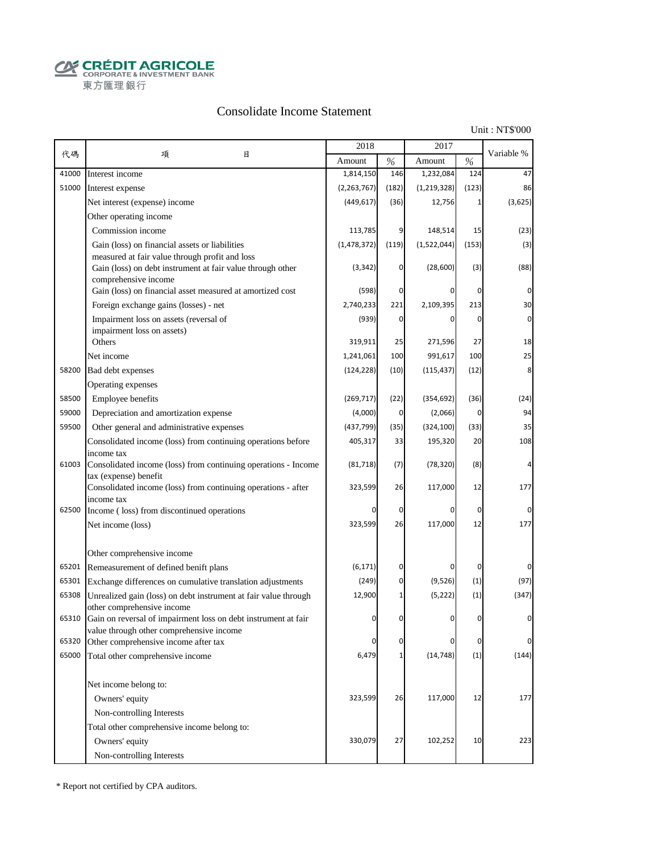**CRÉDIT AGRICOLE** 東方匯理銀行

### Consolidate Income Statement

Unit : NT\$'000

|       |                                                                                                                                      | 2018          |          | 2017        |             |             |
|-------|--------------------------------------------------------------------------------------------------------------------------------------|---------------|----------|-------------|-------------|-------------|
| 代碼    | 目<br>項                                                                                                                               | Amount        | $\%$     | Amount      | $\%$        | Variable %  |
| 41000 | Interest income                                                                                                                      | 1,814,150     | 146      | 1,232,084   | 124         | 47          |
| 51000 | Interest expense                                                                                                                     | (2, 263, 767) | (182)    | (1,219,328) | (123)       | 86          |
|       | Net interest (expense) income                                                                                                        | (449, 617)    | (36)     | 12,756      | 1           | (3,625)     |
|       | Other operating income                                                                                                               |               |          |             |             |             |
|       | Commission income                                                                                                                    | 113,785       | 9        | 148,514     | 15          | (23)        |
|       | Gain (loss) on financial assets or liabilities                                                                                       | (1, 478, 372) | (119)    | (1,522,044) | (153)       | (3)         |
|       | measured at fair value through profit and loss<br>Gain (loss) on debt instrument at fair value through other<br>comprehensive income | (3, 342)      | 0        | (28,600)    | (3)         | (88)        |
|       | Gain (loss) on financial asset measured at amortized cost                                                                            | (598)         | 0        |             | 0           | 0           |
|       | Foreign exchange gains (losses) - net                                                                                                | 2,740,233     | 221      | 2,109,395   | 213         | 30          |
|       | Impairment loss on assets (reversal of                                                                                               | (939)         | 0        | 0           | 0           | $\mathbf 0$ |
|       | impairment loss on assets)                                                                                                           |               |          |             |             |             |
|       | Others                                                                                                                               | 319,911       | 25       | 271,596     | 27          | 18          |
|       | Net income                                                                                                                           | 1,241,061     | 100      | 991,617     | 100         | 25          |
| 58200 | Bad debt expenses                                                                                                                    | (124, 228)    | (10)     | (115, 437)  | (12)        | 8           |
|       | Operating expenses                                                                                                                   |               |          |             |             |             |
| 58500 | Employee benefits                                                                                                                    | (269, 717)    | (22)     | (354, 692)  | (36)        | (24)        |
| 59000 | Depreciation and amortization expense                                                                                                | (4,000)       | 0        | (2,066)     | 0           | 94          |
| 59500 | Other general and administrative expenses                                                                                            | (437, 799)    | (35)     | (324, 100)  | (33)        | 35          |
|       | Consolidated income (loss) from continuing operations before                                                                         | 405,317       | 33       | 195,320     | 20          | 108         |
| 61003 | income tax<br>Consolidated income (loss) from continuing operations - Income                                                         | (81, 718)     | (7)      | (78, 320)   | (8)         |             |
|       | tax (expense) benefit<br>Consolidated income (loss) from continuing operations - after<br>income tax                                 | 323,599       | 26       | 117,000     | 12          | 177         |
| 62500 | Income (loss) from discontinued operations                                                                                           | 0             | 0        |             | $\mathbf 0$ | $\Omega$    |
|       | Net income (loss)                                                                                                                    | 323,599       | 26       | 117,000     | 12          | 177         |
|       | Other comprehensive income                                                                                                           |               |          |             |             |             |
| 65201 | Remeasurement of defined benift plans                                                                                                | (6, 171)      | 0        |             | 0           |             |
| 65301 | Exchange differences on cumulative translation adjustments                                                                           | (249)         | 0        | (9,526)     | (1)         | (97)        |
| 65308 | Unrealized gain (loss) on debt instrument at fair value through<br>other comprehensive income                                        | 12,900        | 1        | (5, 222)    | (1)         | (347)       |
|       | 65310 Gain on reversal of impairment loss on debt instrument at fair<br>value through other comprehensive income                     |               | $\Omega$ | O           | $\Omega$    |             |
| 65320 | Other comprehensive income after tax                                                                                                 | 0             | 0        |             | 0           | $\Omega$    |
| 65000 | Total other comprehensive income                                                                                                     | 6,479         | 1        | (14, 748)   | (1)         | (144)       |
|       | Net income belong to:                                                                                                                |               |          |             |             |             |
|       | Owners' equity                                                                                                                       | 323,599       | 26       | 117,000     | 12          | 177         |
|       | Non-controlling Interests                                                                                                            |               |          |             |             |             |
|       | Total other comprehensive income belong to:                                                                                          |               |          |             |             |             |
|       | Owners' equity                                                                                                                       | 330,079       | 27       | 102,252     | 10          | 223         |
|       | Non-controlling Interests                                                                                                            |               |          |             |             |             |

\* Report not certified by CPA auditors.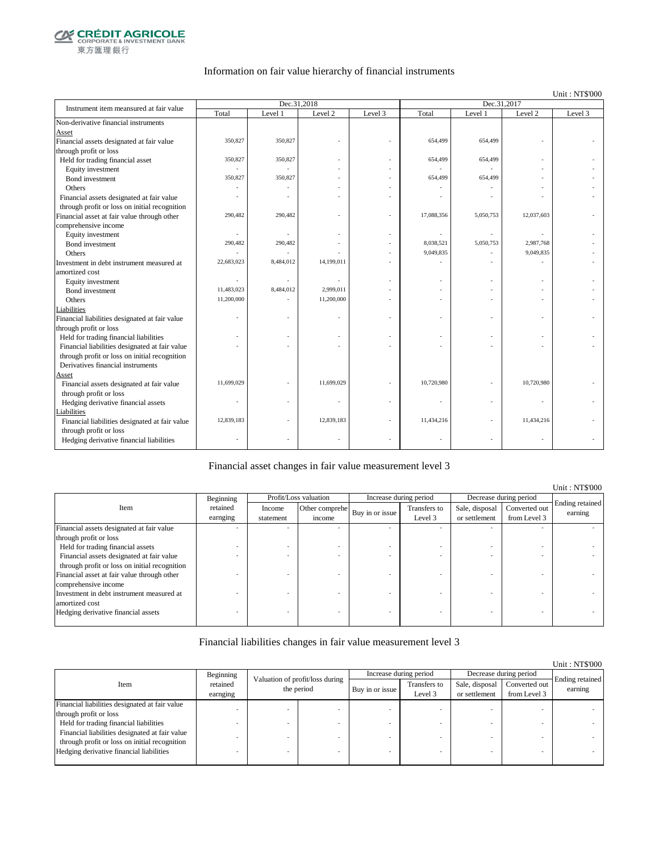

### Information on fair value hierarchy of financial instruments

Unit : NT\$'000

| Instrument item meansured at fair value        |            | Dec.31,2018 |            |         | Dec.31,2017 |           |            |         |  |
|------------------------------------------------|------------|-------------|------------|---------|-------------|-----------|------------|---------|--|
|                                                | Total      | Level 1     | Level 2    | Level 3 | Total       | Level 1   | Level 2    | Level 3 |  |
| Non-derivative financial instruments           |            |             |            |         |             |           |            |         |  |
| Asset                                          |            |             |            |         |             |           |            |         |  |
| Financial assets designated at fair value      | 350,827    | 350,827     |            |         | 654,499     | 654,499   |            |         |  |
| through profit or loss                         |            |             |            |         |             |           |            |         |  |
| Held for trading financial asset               | 350,827    | 350,827     |            |         | 654,499     | 654,499   |            |         |  |
| Equity investment                              |            |             |            |         |             |           |            |         |  |
| Bond investment                                | 350,827    | 350,827     |            |         | 654,499     | 654,499   |            |         |  |
| Others                                         |            |             |            |         |             |           |            |         |  |
| Financial assets designated at fair value      |            |             |            |         |             |           |            |         |  |
| through profit or loss on initial recognition  |            |             |            |         |             |           |            |         |  |
| Financial asset at fair value through other    | 290,482    | 290,482     |            | ä,      | 17,088,356  | 5,050,753 | 12,037,603 |         |  |
| comprehensive income                           |            |             |            |         |             |           |            |         |  |
| Equity investment                              | ä,         |             |            |         |             |           |            |         |  |
| Bond investment                                | 290,482    | 290,482     |            |         | 8,038,521   | 5,050,753 | 2.987.768  |         |  |
| Others                                         |            |             |            |         | 9,049,835   |           | 9,049,835  |         |  |
| Investment in debt instrument measured at      | 22,683,023 | 8,484,012   | 14,199,011 |         |             |           |            |         |  |
| amortized cost                                 |            |             |            |         |             |           |            |         |  |
| Equity investment                              |            |             |            |         |             |           | ÷          |         |  |
| Bond investment                                | 11,483,023 | 8,484,012   | 2,999,011  |         |             |           |            |         |  |
| Others                                         | 11,200,000 |             | 11,200,000 |         |             |           |            |         |  |
| Liabilities                                    |            |             |            |         |             |           |            |         |  |
| Financial liabilities designated at fair value |            |             |            |         |             | ٠         |            |         |  |
| through profit or loss                         |            |             |            |         |             |           |            |         |  |
| Held for trading financial liabilities         |            |             |            |         |             | ٠         |            |         |  |
| Financial liabilities designated at fair value |            |             |            |         |             |           |            |         |  |
| through profit or loss on initial recognition  |            |             |            |         |             |           |            |         |  |
| Derivatives financial instruments              |            |             |            |         |             |           |            |         |  |
| Asset                                          |            |             |            |         |             |           |            |         |  |
| Financial assets designated at fair value      | 11,699,029 |             | 11,699,029 |         | 10,720,980  |           | 10,720,980 |         |  |
| through profit or loss                         |            |             |            |         |             |           |            |         |  |
| Hedging derivative financial assets            |            |             |            |         |             |           |            |         |  |
| Liabilities                                    |            |             |            |         |             |           |            |         |  |
| Financial liabilities designated at fair value | 12,839,183 |             | 12,839,183 |         | 11,434,216  |           | 11,434,216 |         |  |
| through profit or loss                         |            |             |            |         |             |           |            |         |  |
| Hedging derivative financial liabilities       |            |             |            |         |             |           |            |         |  |
|                                                |            |             |            |         |             |           |            |         |  |

#### Financial asset changes in fair value measurement level 3

|                                               |           |           |                       |                 |                        |                |                        | Unit: NT\$'000             |
|-----------------------------------------------|-----------|-----------|-----------------------|-----------------|------------------------|----------------|------------------------|----------------------------|
|                                               | Beginning |           | Profit/Loss valuation |                 | Increase during period |                | Decrease during period |                            |
| Item                                          | retained  | Income    | Other comprehe        | Buy in or issue | Transfers to           | Sale, disposal | Converted out          | Ending retained<br>earning |
|                                               | earnging  | statement | income                |                 | Level 3                | or settlement  | from Level 3           |                            |
| Financial assets designated at fair value     |           |           |                       |                 |                        |                |                        |                            |
| through profit or loss                        |           |           |                       |                 |                        |                |                        |                            |
| Held for trading financial assets             |           |           |                       |                 |                        |                |                        |                            |
| Financial assets designated at fair value     |           |           |                       |                 |                        |                |                        |                            |
| through profit or loss on initial recognition |           |           |                       |                 |                        |                |                        |                            |
| Financial asset at fair value through other   |           |           |                       |                 |                        |                |                        |                            |
| comprehensive income                          |           |           |                       |                 |                        |                |                        |                            |
| Investment in debt instrument measured at     |           |           |                       |                 |                        |                |                        |                            |
| amortized cost                                |           |           |                       |                 |                        |                |                        |                            |
| Hedging derivative financial assets           |           |           |                       |                 |                        |                |                        |                            |
|                                               |           |           |                       |                 |                        |                |                        |                            |

#### Financial liabilities changes in fair value measurement level 3

|                                                |           |                                                                       |  |                 |                         |                                 |                               | Unit: NT\$'000             |
|------------------------------------------------|-----------|-----------------------------------------------------------------------|--|-----------------|-------------------------|---------------------------------|-------------------------------|----------------------------|
|                                                | Beginning | Valuation of profit/loss during<br>retained<br>the period<br>earnging |  |                 | Increase during period  | Decrease during period          |                               |                            |
| Item                                           |           |                                                                       |  | Buy in or issue | Transfers to<br>Level 3 | Sale, disposal<br>or settlement | Converted out<br>from Level 3 | Ending retained<br>earning |
| Financial liabilities designated at fair value |           |                                                                       |  |                 |                         |                                 |                               |                            |
| through profit or loss                         |           |                                                                       |  |                 |                         |                                 |                               |                            |
| Held for trading financial liabilities         |           |                                                                       |  |                 |                         |                                 |                               |                            |
| Financial liabilities designated at fair value |           |                                                                       |  |                 |                         |                                 |                               |                            |
| through profit or loss on initial recognition  |           |                                                                       |  |                 |                         |                                 |                               |                            |
| Hedging derivative financial liabilities       |           |                                                                       |  |                 |                         |                                 |                               |                            |
|                                                |           |                                                                       |  |                 |                         |                                 |                               |                            |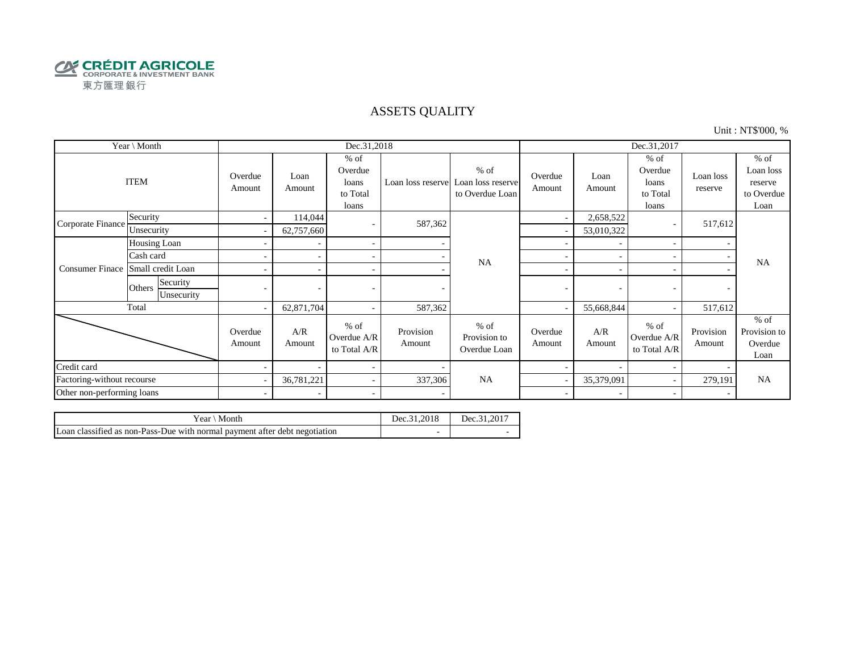

### ASSETS QUALITY

Unit : NT\$'000, %

| Year \ Month               |                                  |                          |                | Dec.31,2018                                     |                     |                                                                  | Dec.31,2017       |                |                                                 |                      |                                                      |
|----------------------------|----------------------------------|--------------------------|----------------|-------------------------------------------------|---------------------|------------------------------------------------------------------|-------------------|----------------|-------------------------------------------------|----------------------|------------------------------------------------------|
|                            | <b>ITEM</b>                      | Overdue<br>Amount        | Loan<br>Amount | $%$ of<br>Overdue<br>loans<br>to Total<br>loans |                     | $%$ of<br>Loan loss reserve Loan loss reserve<br>to Overdue Loan | Overdue<br>Amount | Loan<br>Amount | $%$ of<br>Overdue<br>loans<br>to Total<br>loans | Loan loss<br>reserve | $%$ of<br>Loan loss<br>reserve<br>to Overdue<br>Loan |
| Corporate Finance          | Security                         | $\overline{\phantom{a}}$ | 114,044        | $\overline{\phantom{a}}$                        | 587,362             |                                                                  | ۰                 | 2,658,522      |                                                 | 517,612              |                                                      |
|                            | Unsecurity                       | $\overline{\phantom{a}}$ | 62,757,660     |                                                 |                     |                                                                  |                   | 53,010,322     |                                                 |                      | <b>NA</b>                                            |
|                            | Housing Loan                     |                          |                | $\overline{\phantom{a}}$                        |                     |                                                                  |                   |                |                                                 |                      |                                                      |
|                            | Cash card                        |                          |                | $\sim$                                          |                     | <b>NA</b>                                                        | ÷                 |                |                                                 |                      |                                                      |
| <b>Consumer Finace</b>     | Small credit Loan                |                          |                | $\sim$                                          |                     |                                                                  | ۰                 |                |                                                 |                      |                                                      |
|                            | Security<br>Others<br>Unsecurity |                          |                |                                                 |                     |                                                                  | -                 | ٠              |                                                 |                      |                                                      |
|                            | Total                            | $\sim$                   | 62,871,704     | $\sim$                                          | 587,362             |                                                                  |                   | 55,668,844     |                                                 | 517,612              |                                                      |
|                            |                                  | Overdue<br>Amount        | A/R<br>Amount  | $%$ of<br>Overdue A/R<br>to Total A/R           | Provision<br>Amount | $%$ of<br>Provision to<br>Overdue Loan                           | Overdue<br>Amount | A/R<br>Amount  | $%$ of<br>Overdue A/R<br>to Total A/R           | Provision<br>Amount  | $%$ of<br>Provision to<br>Overdue<br>Loan            |
| Credit card                |                                  |                          |                | $\overline{\phantom{a}}$                        |                     |                                                                  |                   |                |                                                 |                      |                                                      |
| Factoring-without recourse |                                  |                          | 36,781,221     | $\sim$                                          | 337,306             | <b>NA</b>                                                        |                   | 35,379,091     |                                                 | 279,191              | <b>NA</b>                                            |
| Other non-performing loans |                                  | $\sim$                   |                | $\sim$                                          |                     |                                                                  | $\sim$            |                |                                                 |                      |                                                      |

| Vear \ Month                                                               | Dec.31.2018 | Dec.31.2017 |
|----------------------------------------------------------------------------|-------------|-------------|
| Loan classified as non-Pass-Due with normal payment after debt negotiation |             |             |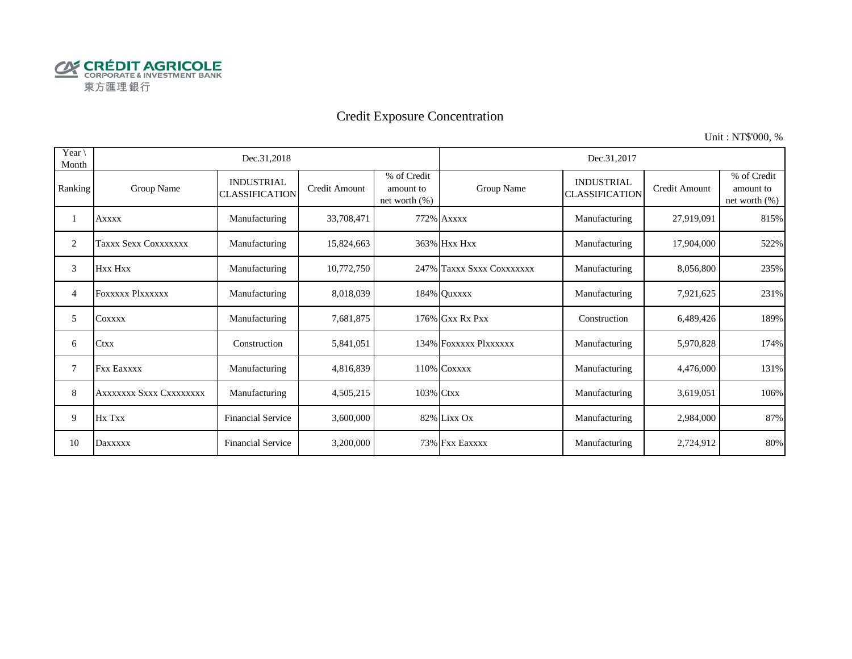

# Credit Exposure Concentration

Unit : NT\$'000, %

| Year<br>Month |                         | Dec.31,2018                                |               |                                              |                           | Dec.31,2017                                |               |                                              |
|---------------|-------------------------|--------------------------------------------|---------------|----------------------------------------------|---------------------------|--------------------------------------------|---------------|----------------------------------------------|
| Ranking       | Group Name              | <b>INDUSTRIAL</b><br><b>CLASSIFICATION</b> | Credit Amount | % of Credit<br>amount to<br>net worth $(\%)$ | Group Name                | <b>INDUSTRIAL</b><br><b>CLASSIFICATION</b> | Credit Amount | % of Credit<br>amount to<br>net worth $(\%)$ |
|               | <b>Axxxx</b>            | Manufacturing                              | 33,708,471    |                                              | 772% Axxxx                | Manufacturing                              | 27,919,091    | 815%                                         |
| 2             | Taxxx Sexx Coxxxxxxx    | Manufacturing                              | 15,824,663    |                                              | 363% Hxx Hxx              | Manufacturing                              | 17,904,000    | 522%                                         |
| 3             | Hxx Hxx                 | Manufacturing                              | 10,772,750    |                                              | 247% Taxxx Sxxx Coxxxxxxx | Manufacturing                              | 8,056,800     | 235%                                         |
| 4             | FOXXXXX PlXXXXXX        | Manufacturing                              | 8,018,039     |                                              | 184% Quxxxx               | Manufacturing                              | 7,921,625     | 231%                                         |
| 5             | COXXXX                  | Manufacturing                              | 7,681,875     |                                              | 176% Gxx Rx Pxx           | Construction                               | 6,489,426     | 189%                                         |
| 6             | <b>Ctxx</b>             | Construction                               | 5,841,051     |                                              | 134% FOXXXXX PlXXXXXX     | Manufacturing                              | 5,970,828     | 174%                                         |
| 7             | <b>Fxx Eaxxxx</b>       | Manufacturing                              | 4,816,839     |                                              | 110% COXXXX               | Manufacturing                              | 4,476,000     | 131%                                         |
| 8             | AXXXXXXX SXXX CXXXXXXXX | Manufacturing                              | 4,505,215     | 103% Ctxx                                    |                           | Manufacturing                              | 3,619,051     | 106%                                         |
| 9             | Hx Txx                  | <b>Financial Service</b>                   | 3,600,000     |                                              | 82% Lixx Ox               | Manufacturing                              | 2,984,000     | 87%                                          |
| 10            | Daxxxxx                 | <b>Financial Service</b>                   | 3,200,000     |                                              | 73% Fxx Eaxxxx            | Manufacturing                              | 2,724,912     | 80%                                          |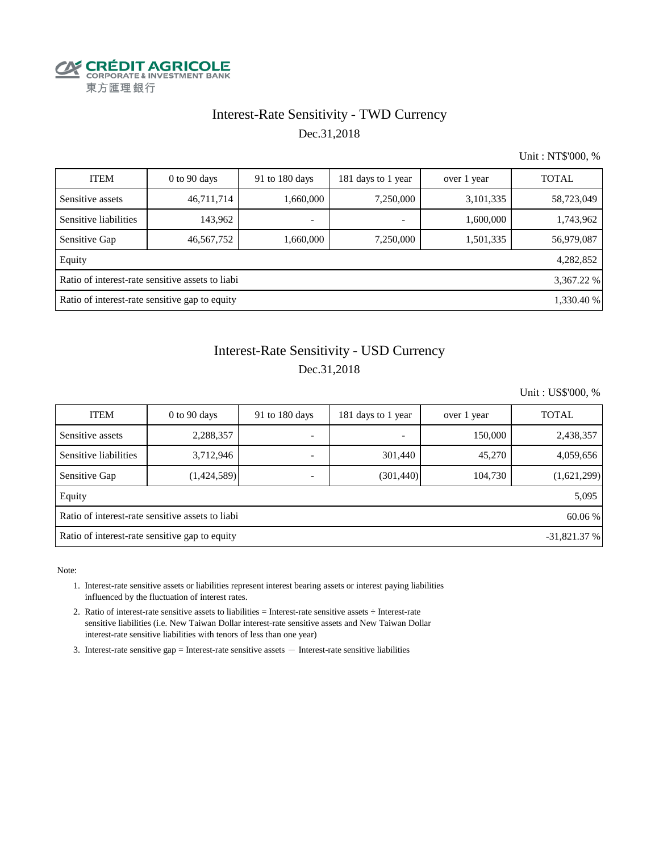

## Interest-Rate Sensitivity - TWD Currency Dec.31,2018

Unit : NT\$'000, %

| <b>ITEM</b>                                                    | $0$ to 90 days | 91 to 180 days           | 181 days to 1 year       | over 1 year | <b>TOTAL</b> |  |  |  |  |  |
|----------------------------------------------------------------|----------------|--------------------------|--------------------------|-------------|--------------|--|--|--|--|--|
| Sensitive assets                                               | 46,711,714     | 1,660,000                | 7,250,000                | 3,101,335   | 58,723,049   |  |  |  |  |  |
| Sensitive liabilities                                          | 143,962        | $\overline{\phantom{a}}$ | $\overline{\phantom{a}}$ | 1,600,000   | 1,743,962    |  |  |  |  |  |
| Sensitive Gap                                                  | 46,567,752     | 1,660,000                | 7,250,000                | 1,501,335   | 56,979,087   |  |  |  |  |  |
| Equity                                                         |                |                          |                          |             | 4,282,852    |  |  |  |  |  |
| Ratio of interest-rate sensitive assets to liabi<br>3,367.22 % |                |                          |                          |             |              |  |  |  |  |  |
| Ratio of interest-rate sensitive gap to equity<br>1,330.40 %   |                |                          |                          |             |              |  |  |  |  |  |

# Interest-Rate Sensitivity - USD Currency Dec.31,2018

Unit : US\$'000, %

| <b>ITEM</b>                                                     | $0$ to $90$ days                                            | 91 to 180 days           | 181 days to 1 year       | over 1 year | <b>TOTAL</b> |  |  |  |  |  |
|-----------------------------------------------------------------|-------------------------------------------------------------|--------------------------|--------------------------|-------------|--------------|--|--|--|--|--|
| Sensitive assets                                                | 2,288,357                                                   | $\overline{\phantom{0}}$ | $\overline{\phantom{a}}$ | 150,000     | 2,438,357    |  |  |  |  |  |
| Sensitive liabilities                                           | 3,712,946                                                   |                          | 301,440                  | 45,270      | 4,059,656    |  |  |  |  |  |
| Sensitive Gap                                                   | (1,424,589)                                                 |                          | (301, 440)               | 104,730     | (1,621,299)  |  |  |  |  |  |
| Equity                                                          |                                                             |                          |                          |             | 5,095        |  |  |  |  |  |
|                                                                 | Ratio of interest-rate sensitive assets to liabi<br>60.06 % |                          |                          |             |              |  |  |  |  |  |
| Ratio of interest-rate sensitive gap to equity<br>$-31,821.37%$ |                                                             |                          |                          |             |              |  |  |  |  |  |

Note:

- 1. Interest-rate sensitive assets or liabilities represent interest bearing assets or interest paying liabilities influenced by the fluctuation of interest rates.
- 2. Ratio of interest-rate sensitive assets to liabilities = Interest-rate sensitive assets ÷ Interest-rate sensitive liabilities (i.e. New Taiwan Dollar interest-rate sensitive assets and New Taiwan Dollar interest-rate sensitive liabilities with tenors of less than one year)
- 3. Interest-rate sensitive gap = Interest-rate sensitive assets  $-$  Interest-rate sensitive liabilities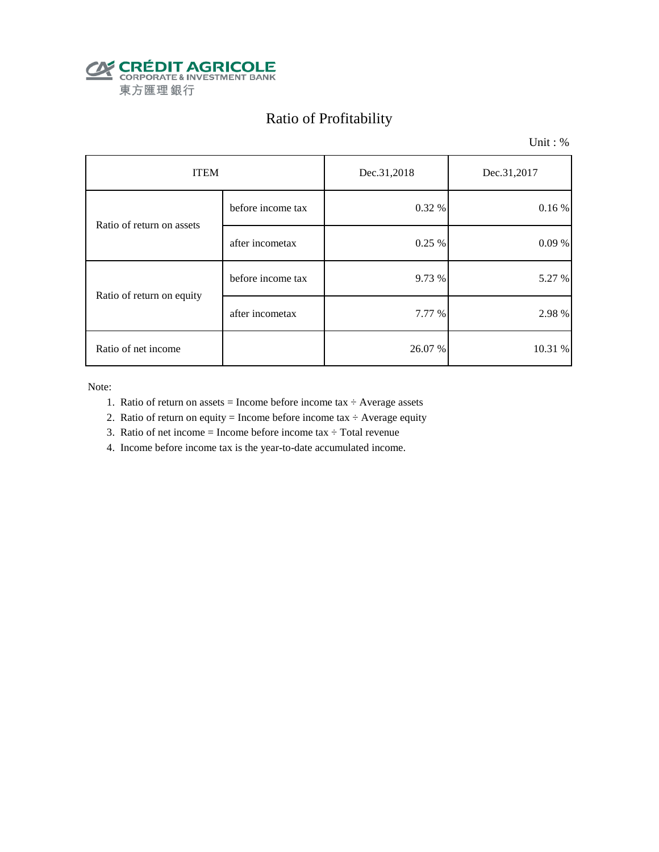

# Ratio of Profitability

Unit : %

| <b>ITEM</b>               |                   | Dec.31,2018 | Dec.31,2017 |  |
|---------------------------|-------------------|-------------|-------------|--|
| Ratio of return on assets | before income tax | 0.32 %      | 0.16%       |  |
|                           | after incometax   | 0.25 %      | 0.09%       |  |
| Ratio of return on equity | before income tax | 9.73 %      | 5.27 %      |  |
|                           | after incometax   | 7.77 %      | 2.98 %      |  |
| Ratio of net income       |                   | 26.07 %     | 10.31 %     |  |

Note:

- 1. Ratio of return on assets = Income before income tax  $\div$  Average assets
- 2. Ratio of return on equity = Income before income tax  $\div$  Average equity
- 3. Ratio of net income = Income before income tax  $\div$  Total revenue
- 4. Income before income tax is the year-to-date accumulated income.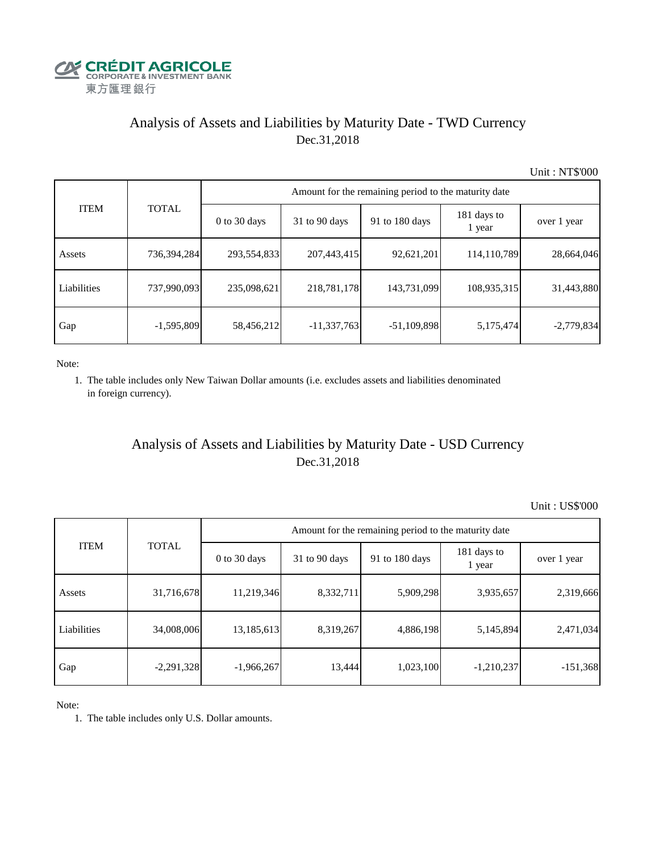

# Analysis of Assets and Liabilities by Maturity Date - TWD Currency Dec.31,2018

Unit : NT\$'000

|             |              | Amount for the remaining period to the maturity date |                 |                |                       |              |  |  |  |  |
|-------------|--------------|------------------------------------------------------|-----------------|----------------|-----------------------|--------------|--|--|--|--|
| <b>ITEM</b> | <b>TOTAL</b> | 0 to 30 days                                         | $31$ to 90 days | 91 to 180 days | 181 days to<br>1 year | over 1 year  |  |  |  |  |
| Assets      | 736,394,284  | 293,554,833                                          | 207,443,415     | 92,621,201     | 114,110,789           | 28,664,046   |  |  |  |  |
| Liabilities | 737,990,093  | 235,098,621                                          | 218,781,178     | 143,731,099    | 108,935,315           | 31,443,880   |  |  |  |  |
| Gap         | $-1,595,809$ | 58,456,212                                           | $-11,337,763$   | $-51,109,898$  | 5,175,474             | $-2,779,834$ |  |  |  |  |

Note:

 1. The table includes only New Taiwan Dollar amounts (i.e. excludes assets and liabilities denominated in foreign currency).

## Analysis of Assets and Liabilities by Maturity Date - USD Currency Dec.31,2018

Unit : US\$'000

| <b>ITEM</b> | <b>TOTAL</b> | Amount for the remaining period to the maturity date |                 |                |                       |             |  |  |
|-------------|--------------|------------------------------------------------------|-----------------|----------------|-----------------------|-------------|--|--|
|             |              | $0$ to 30 days                                       | $31$ to 90 days | 91 to 180 days | 181 days to<br>1 year | over 1 year |  |  |
| Assets      | 31,716,678   | 11,219,346                                           | 8,332,711       | 5,909,298      | 3,935,657             | 2,319,666   |  |  |
| Liabilities | 34,008,006   | 13,185,613                                           | 8,319,267       | 4,886,198      | 5,145,894             | 2,471,034   |  |  |
| Gap         | $-2,291,328$ | $-1,966,267$                                         | 13,444          | 1,023,100      | $-1,210,237$          | $-151,368$  |  |  |

Note:

1. The table includes only U.S. Dollar amounts.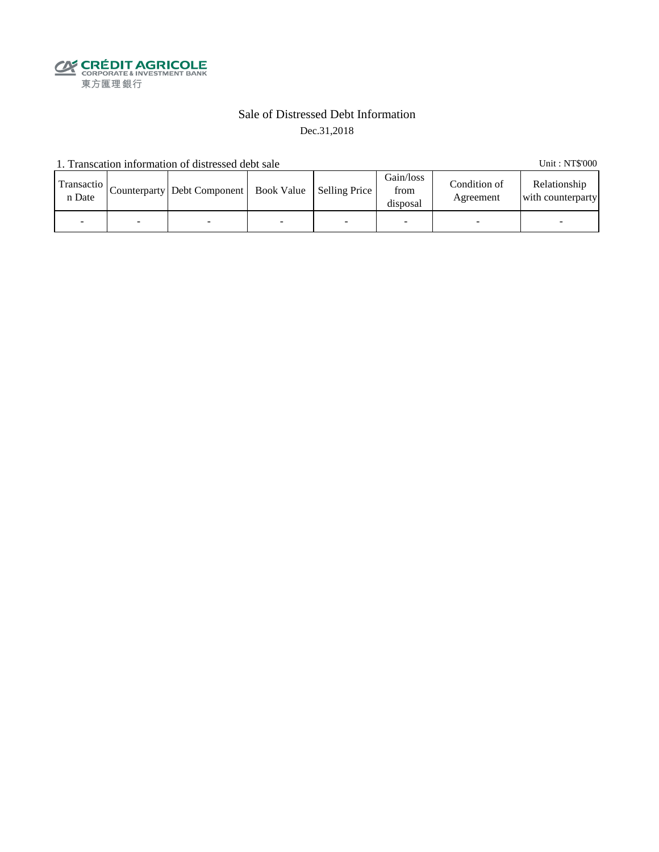**SECRÉDIT AGRICOLE**<br>
CORPORATE& INVESTMENT BANK<br>
東方匯理銀行

### Sale of Distressed Debt Information Dec.31,2018

1. Transcation information of distressed debt sale Unit: NT\$'000

| Transactio<br>n Date | Counterparty   Debt Component   Book Value   Selling Price |  | Gain/loss<br>from<br>disposal | Condition of<br>Agreement | Relationship<br>with counterparty |
|----------------------|------------------------------------------------------------|--|-------------------------------|---------------------------|-----------------------------------|
|                      |                                                            |  |                               |                           |                                   |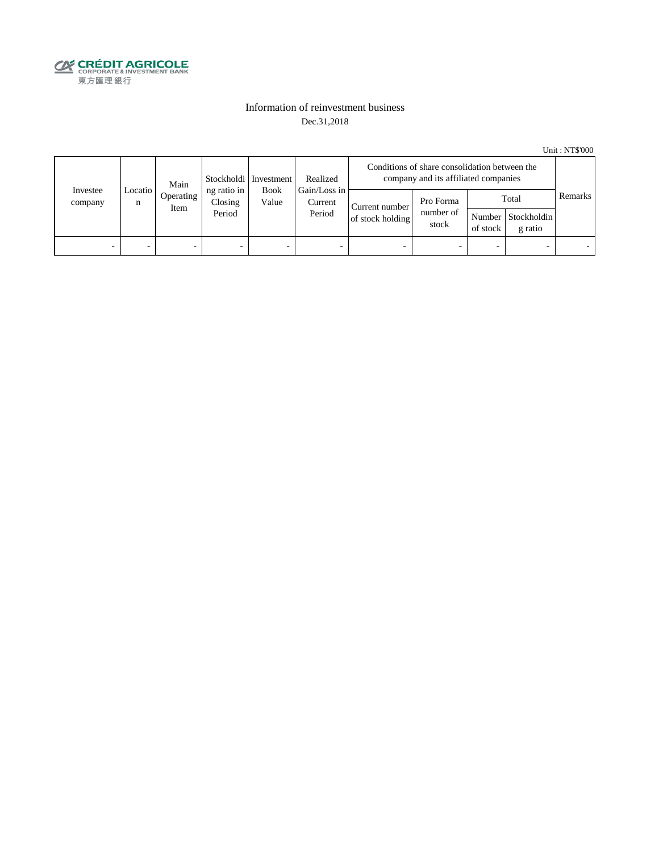

### Information of reinvestment business Dec.31,2018

Unit : NT\$'000

| Investee<br>company | Main<br>Locatio<br>Operating<br>n<br>Item | Stockholdi   Investment | Realized                         | Conditions of share consolidation between the<br>company and its affiliated companies |                                                                         |                                 |          |                                        |         |  |
|---------------------|-------------------------------------------|-------------------------|----------------------------------|---------------------------------------------------------------------------------------|-------------------------------------------------------------------------|---------------------------------|----------|----------------------------------------|---------|--|
|                     |                                           |                         | ng ratio in<br>Closing<br>Period | <b>Book</b><br>Value                                                                  | Gain/Loss in<br>Current<br>Current number<br>Period<br>of stock holding | Pro Forma<br>number of<br>stock | of stock | Total<br>Number Stockholdin<br>g ratio | Remarks |  |
| -                   |                                           | -                       |                                  | -                                                                                     | $\overline{\phantom{a}}$                                                |                                 |          | -                                      |         |  |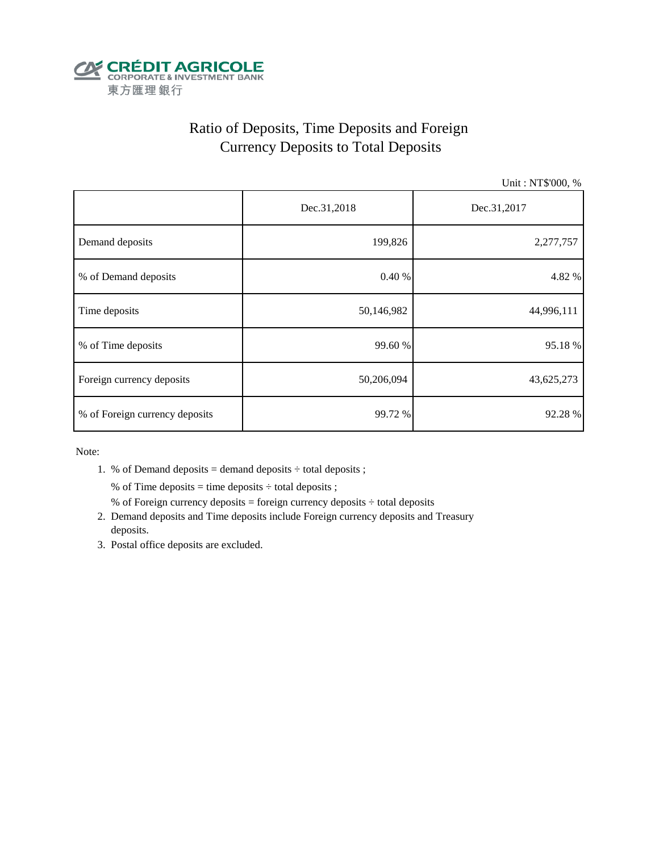

# Ratio of Deposits, Time Deposits and Foreign Currency Deposits to Total Deposits

Unit : NT\$'000, %

|                                | Dec.31,2018 | Dec.31,2017 |  |
|--------------------------------|-------------|-------------|--|
| Demand deposits                | 199,826     | 2,277,757   |  |
| % of Demand deposits           | 0.40%       | 4.82 %      |  |
| Time deposits                  | 50,146,982  | 44,996,111  |  |
| % of Time deposits             | 99.60 %     | 95.18%      |  |
| Foreign currency deposits      | 50,206,094  | 43,625,273  |  |
| % of Foreign currency deposits | 99.72 %     | 92.28 %     |  |

Note:

1. % of Demand deposits = demand deposits  $\div$  total deposits ;

% of Time deposits = time deposits  $\div$  total deposits ;

- % of Foreign currency deposits = foreign currency deposits  $\div$  total deposits
- 2. Demand deposits and Time deposits include Foreign currency deposits and Treasury deposits.
- 3. Postal office deposits are excluded.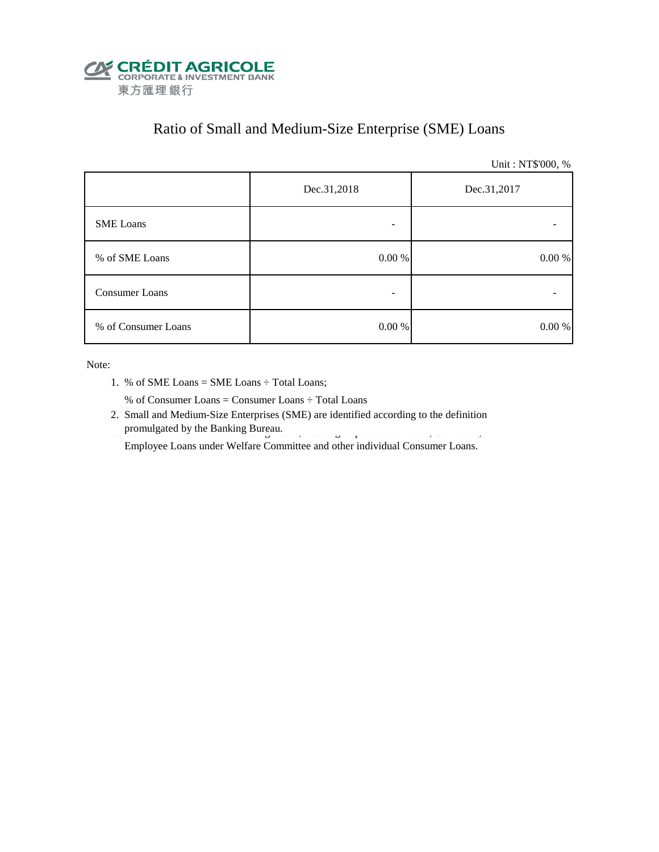

# Ratio of Small and Medium-Size Enterprise (SME) Loans

Unit : NT\$'000, %

|                       | Dec.31,2018 | Dec.31,2017 |  |  |
|-----------------------|-------------|-------------|--|--|
| <b>SME</b> Loans      |             |             |  |  |
| % of SME Loans        | 0.00 %      | $0.00\ \%$  |  |  |
| <b>Consumer Loans</b> | -           |             |  |  |
| % of Consumer Loans   | 0.00 %      | 0.00 %      |  |  |

Note:

1. % of SME Loans = SME Loans ÷ Total Loans;

% of Consumer Loans = Consumer Loans ÷ Total Loans

 2. Small and Medium-Size Enterprises (SME) are identified according to the definition promulgated by the Banking Bureau. 3. Consumer Loans include Housing Improvement Loans, Housing Improvement Loans, Car Loans, Car Loans, Car Loans, Car Loans, Car Loans, Car Loans, Car Loans, Car Loans, Car Loans, Car Loan

Employee Loans under Welfare Committee and other individual Consumer Loans.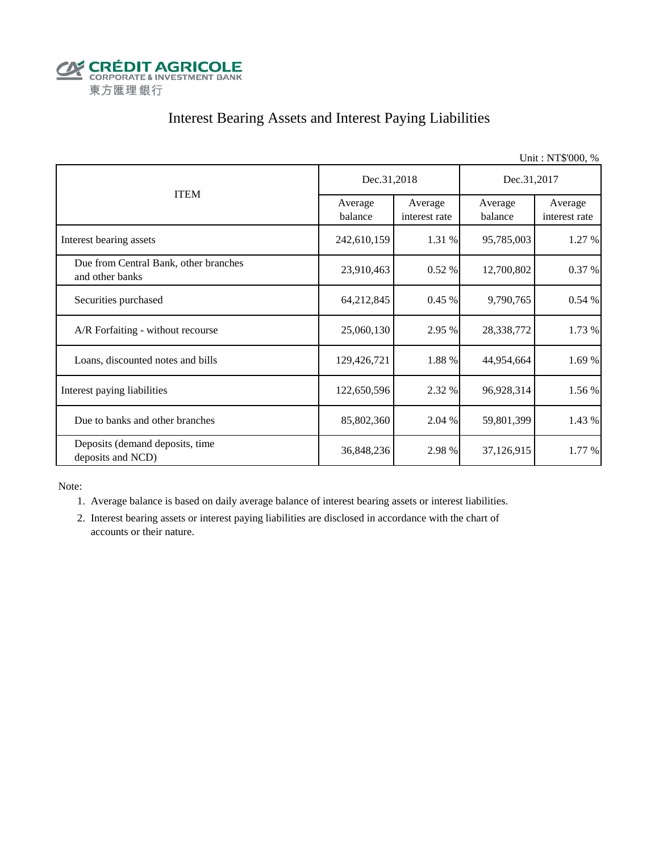

# Interest Bearing Assets and Interest Paying Liabilities

|                                                          |                    |                          |                    | Unit: NT\$'000, %        |  |
|----------------------------------------------------------|--------------------|--------------------------|--------------------|--------------------------|--|
|                                                          | Dec.31,2018        |                          | Dec.31,2017        |                          |  |
| <b>ITEM</b>                                              | Average<br>balance | Average<br>interest rate | Average<br>balance | Average<br>interest rate |  |
| Interest bearing assets                                  | 242,610,159        | 1.31 %                   | 95,785,003         | 1.27 %                   |  |
| Due from Central Bank, other branches<br>and other banks | 23,910,463         | 0.52%                    | 12,700,802         | 0.37 %                   |  |
| Securities purchased                                     | 64,212,845         | 0.45 %                   | 9,790,765          | 0.54 %                   |  |
| A/R Forfaiting - without recourse                        | 25,060,130         | 2.95 %                   | 28,338,772         | 1.73 %                   |  |
| Loans, discounted notes and bills                        | 129,426,721        | 1.88 %                   | 44,954,664         | 1.69 %                   |  |
| Interest paying liabilities                              | 122,650,596        | 2.32 %                   | 96,928,314         | 1.56 %                   |  |
| Due to banks and other branches                          | 85,802,360         | 2.04 %                   | 59,801,399         | 1.43 %                   |  |
| Deposits (demand deposits, time<br>deposits and NCD)     | 36,848,236         | 2.98 %                   | 37,126,915         | 1.77 %                   |  |

Note:

1. Average balance is based on daily average balance of interest bearing assets or interest liabilities.

 2. Interest bearing assets or interest paying liabilities are disclosed in accordance with the chart of accounts or their nature.